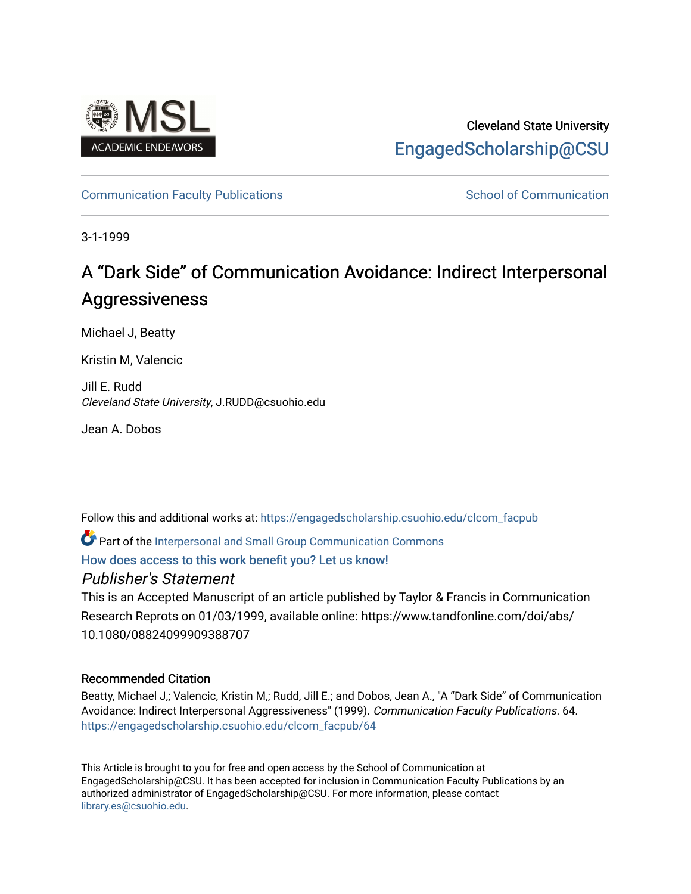

# Cleveland State University [EngagedScholarship@CSU](https://engagedscholarship.csuohio.edu/)

## [Communication Faculty Publications](https://engagedscholarship.csuohio.edu/clcom_facpub) [School of Communication](https://engagedscholarship.csuohio.edu/clcom) School of Communication

3-1-1999

# A "Dark Side" of Communication Avoidance: Indirect Interpersonal **Aggressiveness**

Michael J, Beatty

Kristin M, Valencic

Jill E. Rudd Cleveland State University, J.RUDD@csuohio.edu

Jean A. Dobos

Follow this and additional works at: [https://engagedscholarship.csuohio.edu/clcom\\_facpub](https://engagedscholarship.csuohio.edu/clcom_facpub?utm_source=engagedscholarship.csuohio.edu%2Fclcom_facpub%2F64&utm_medium=PDF&utm_campaign=PDFCoverPages) 

Part of the [Interpersonal and Small Group Communication Commons](http://network.bepress.com/hgg/discipline/332?utm_source=engagedscholarship.csuohio.edu%2Fclcom_facpub%2F64&utm_medium=PDF&utm_campaign=PDFCoverPages) 

[How does access to this work benefit you? Let us know!](http://library.csuohio.edu/engaged/)

## Publisher's Statement

This is an Accepted Manuscript of an article published by Taylor & Francis in Communication Research Reprots on 01/03/1999, available online: https://www.tandfonline.com/doi/abs/ 10.1080/08824099909388707

## Recommended Citation

Beatty, Michael J,; Valencic, Kristin M,; Rudd, Jill E.; and Dobos, Jean A., "A "Dark Side" of Communication Avoidance: Indirect Interpersonal Aggressiveness" (1999). Communication Faculty Publications. 64. [https://engagedscholarship.csuohio.edu/clcom\\_facpub/64](https://engagedscholarship.csuohio.edu/clcom_facpub/64?utm_source=engagedscholarship.csuohio.edu%2Fclcom_facpub%2F64&utm_medium=PDF&utm_campaign=PDFCoverPages) 

This Article is brought to you for free and open access by the School of Communication at EngagedScholarship@CSU. It has been accepted for inclusion in Communication Faculty Publications by an authorized administrator of EngagedScholarship@CSU. For more information, please contact [library.es@csuohio.edu.](mailto:library.es@csuohio.edu)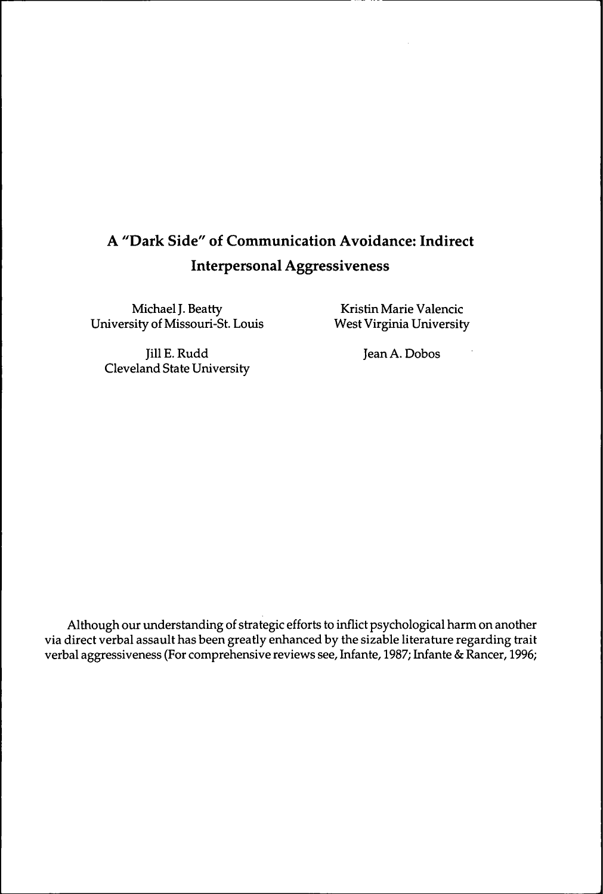# **A "Dark Side" of Communication Avoidance: Indirect Interpersonal Aggressiveness**

Michael J. Beatty University of Missouri-St. Louis

Kristin Marie Valencic West Virginia University

Jill E. Rudd Cleveland State University Jean A. Dobos

Although our understanding of strategic efforts to inflict psychological harm on another via direct verbal assault has been greatly enhanced by the sizable literature regarding trait verbal aggressiveness (For comprehensive reviews see, Infante, 1987; Infante & Rancer, 1996;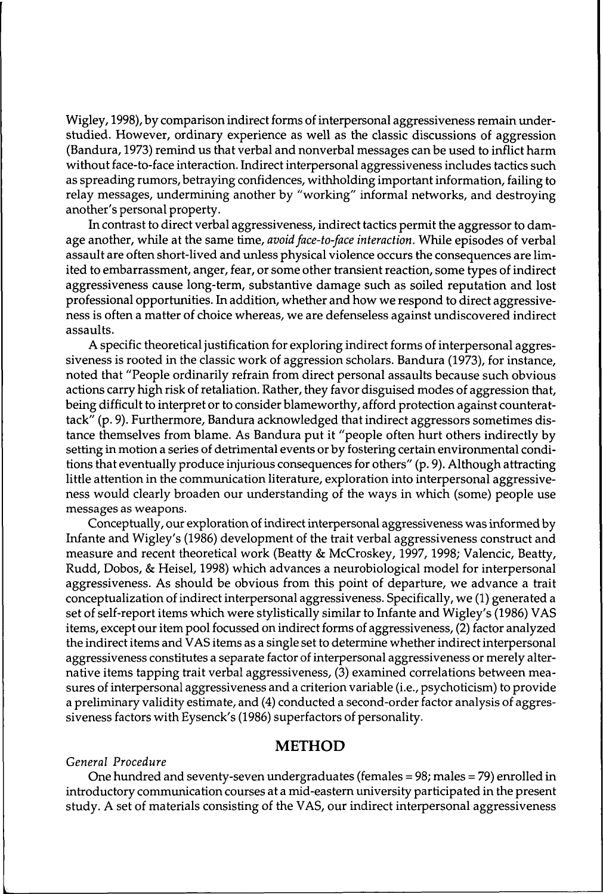Wigley, 1998), by comparison indirect forms of interpersonal aggressiveness remain understudied. However, ordinary experience as well as the classic discussions of aggression (Bandura, 1973) remind us that verbal and nonverbal messages can be used to inflict harm without face-to-face interaction. Indirect interpersonal aggressiveness includes tactics such as spreading rumors, betraying confidences, withholding important information, failing to relay messages, undermining another by "working" informal networks, and destroying another's personal property.

In contrast to direct verbal aggressiveness, indirect tactics permit the aggressor to damage another, while at the same time, *avoidface-to-face interaction.* While episodes of verbal assault are often short-lived and unless physical violence occurs the consequences are limited to embarrassment, anger, fear, or some other transient reaction, some types of indirect aggressiveness cause long-term, substantive damage such as soiled reputation and lost professional opportunities. In addition, whether and how we respond to direct aggressiveness is often a matter of choice whereas, we are defenseless against undiscovered indirect assaults.

A specific theoretical justification for exploring indirect forms of interpersonal aggressiveness is rooted in the classic work of aggression scholars. Bandura (1973), for instance, noted that "People ordinarily refrain from direct personal assaults because such obvious actions carry high risk of retaliation. Rather, they favor disguised modes of aggression that, being difficult to interpret or to consider blameworthy, afford protection against counterattack" (p. 9). Furthermore, Bandura acknowledged that indirect aggressors sometimes distance themselves from blame. As Bandura put it "people often hurt others indirectly by setting in motion a series of detrimental events or by fostering certain environmental conditions that eventually produce injurious consequences for others" (p. 9). Although attracting little attention in the communication literature, exploration into interpersonal aggressiveness would clearly broaden our understanding of the ways in which (some) people use messages as weapons.

Conceptually, our exploration of indirect interpersonal aggressiveness was informed by Infante and Wigley's (1986) development of the trait verbal aggressiveness construct and measure and recent theoretical work (Beatty & McCroskey, 1997, 1998; Valencic, Beatty, Rudd, Dobos, & Heisel, 1998) which advances a neurobiological model for interpersonal aggressiveness. As should be obvious from this point of departure, we advance a trait conceptualization ofindirect interpersonal aggressiveness. Specifically, we (1) generated a set of self-report items which were stylistically similar to Infante and Wigley's (1986) VAS items, except our item pool focussed on indirect forms of aggressiveness, (2) factor analyzed the indirect items and VAS items as a single set to determine whether indirect interpersonal aggressiveness constitutes a separate factor of interpersonal aggressiveness or merely alternative items tapping trait verbal aggressiveness, (3) examined correlations between measures of interpersonal aggressiveness and a criterion variable (i.e., psychoticism) to provide a preliminary validity estimate, and (4) conducted a second-orderfactor analysis of aggressiveness factors with Eysenck's (1986) superfactors of personality.

#### **METHOD**

#### *General Procedure*

One hundred and seventy-seven undergraduates (females = 98; males = 79) enrolled in introductory communication courses at a mid-eastern university participated in the present study. A set of materials consisting of the VAS, our indirect interpersonal aggressiveness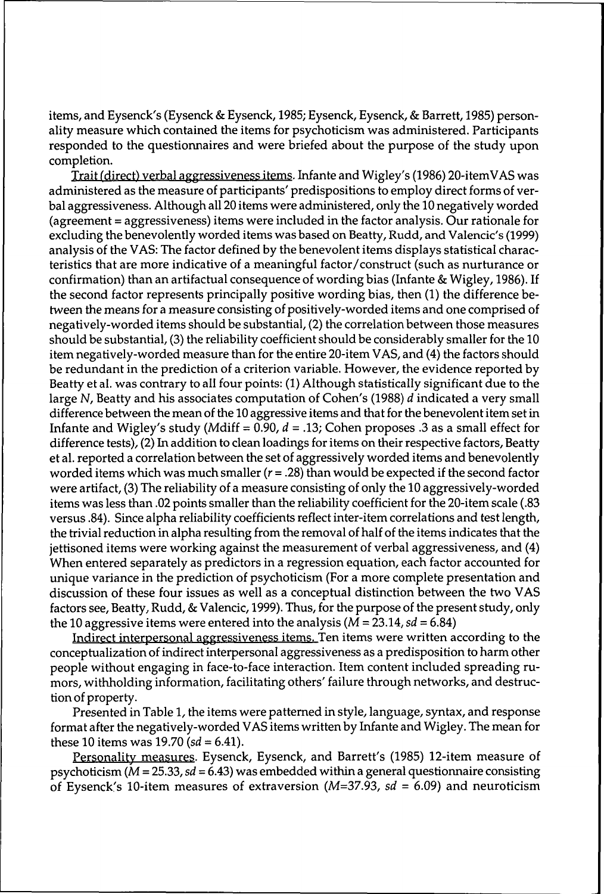items, and Eysenck's (Eysenck & Eysenck, 1985; Eysenck, Eysenck, & Barrett, 1985) personality measure which contained the items for psychoticism was administered. Participants responded to the questionnaires and were briefed about the purpose of the study upon completion.

Trait (direct) verbal aggressiveness items. Infante and Wigley's (1986) 20-itemVAS was administered as the measure of participants' predispositions to employ direct forms of verbal aggressiveness. Althoughall 20 items were administered, only the 10 negatively worded (agreement = aggressiveness) items were included in the factor analysis. Our rationale for excluding the benevolently worded items was based on Beatty, Rudd, and Valencic's (1999) analysis of the VAS: The factor defined by the benevolent items displays statistical characteristics that are more indicative of a meaningful factor/construct (such as nurturance or confirmation) than an artifactual consequence of wording bias (Infante & Wigley, 1986). If the second factor represents principally positive wording bias, then (1) the difference between the means for a measure consisting of positively-worded items and one comprised of negatively-worded items should be substantial, (2) the correlationbetween those measures should be substantial, (3) the reliability coefficient should be considerably smaller for the 10 item negatively-worded measure than for the entire 20-item VAS, and (4) the factors should be redundant in the prediction of a criterion variable. However, the evidence reported by Beatty et al. was contrary to all four points: (1) Although statistically significant due to the large N, Beatty and his associates computation of Cohen's (1988) *d* indicated a very small difference between the mean of the 10 aggressive items and that for the benevolent item set in Infante and Wigley's study (Mdiff <sup>=</sup> 0.90, *<sup>d</sup> -* .13; Cohen proposes .3 as <sup>a</sup> small effect for difference tests), (2) In addition to clean loadings for items on their respective factors, Beatty et al. reported a correlation between the set of aggressively worded items and benevolently worded items which was much smaller  $(r = .28)$  than would be expected if the second factor were artifact, (3) The reliability of a measure consisting of only the 10 aggressively-worded items was less than .02 points smaller than the reliability coefficient for the 20-item scale (.83 versus .84). Since alpha reliability coefficients reflect inter-item correlations and test length, the trivial reduction in alpha resulting from the removal of half of the items indicates that the jettisoned items were working against the measurement of verbal aggressiveness, and (4) When entered separately as predictors in a regression equation, each factor accounted for unique variance in the prediction of psychoticism (For a more complete presentation and discussion of these four issues as well as a conceptual distinction between the two VAS factors see, Beatty, Rudd, & Valencic, 1999). Thus, for the purpose of the present study, only the 10 aggressive items were entered into the analysis (M = 23.14, *sd =* 6.84)

Indirect interpersonal aggressiveness items. Ten items were written according to the conceptualization of indirect interpersonal aggressiveness as a predisposition to harm other people without engaging in face-to-face interaction. Item content included spreading rumors, withholding information, facilitating others' failure through networks, and destruction of property.

Presented in Table 1, the items were patterned in style, language, syntax, and response format after the negatively-worded VAS items written by Infante and Wigley. The mean for these 10 items was 19.70 *(sd* = 6.41).

Personality measures. Eysenck, Eysenck, and Barrett's (1985) 12-item measure of psychoticism (M = 25.33,*sd =* 6.43) was embedded within a general questionnaire consisting of Eysenck's 10-item measures of extraversion (M=37.93, *sd =* 6.09) and neuroticism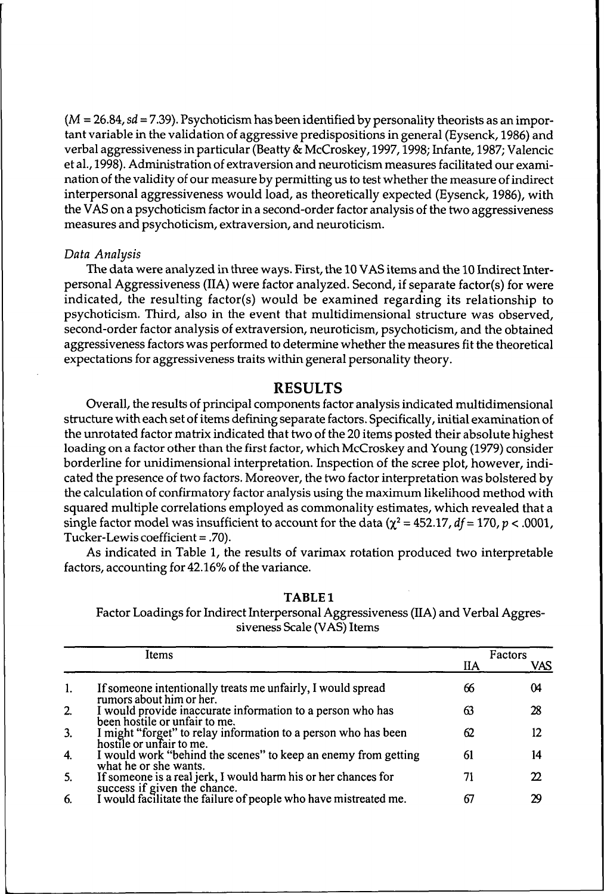(*M* = 26.84,*sd* = 7.39). Psychoticismhas beenidentifiedby personality theorists as an important variable in the validation of aggressive predispositions in general (Eysenck, 1986) and verbal aggressiveness in particular (Beatty & McCroskey, 1997,1998; Infante, 1987; Valencic et al., 1998). Administration of extraversion and neuroticism measures facilitated our examination of the validity of our measure by permitting us to test whether the measure of indirect interpersonal aggressiveness would load, as theoretically expected (Eysenck, 1986), with the VAS on a psychoticism factor in a second-order factor analysis of the two aggressiveness measures and psychoticism, extraversion, and neuroticism.

#### *Data Analysis*

The data were analyzed in three ways. First, the 10 VAS items and the 10 Indirect Interpersonal Aggressiveness (IIA) were factor analyzed. Second, if separate factor(s) for were indicated, the resulting factor(s) would be examined regarding its relationship to psychoticism. Third, also in the event that multidimensional structure was observed, second-order factor analysis of extraversion, neuroticism, psychoticism, and the obtained aggressiveness factors was performed to determine whether the measures fit the theoretical expectations for aggressiveness traits within general personality theory.

#### **RESULTS**

Overall, the results of principal components factor analysis indicated multidimensional structure with each set of items defining separate factors. Specifically, initial examination of the unrotated factor matrix indicated that two of the 20 items posted their absolute highest loading on a factor other than the first factor, which McCroskey and Young (1979) consider borderline for unidimensional interpretation. Inspection of the scree plot, however, indicated the presence of two factors. Moreover, the two factorinterpretation was bolstered by the calculation of confirmatory factor analysis using the maximum likelihood method with squared multiple correlations employed as commonality estimates, which revealed that a single factor model was insufficient to account for the data  $(\chi^2 = 452.17, df = 170, p < .0001,$ Tucker-Lewis coefficient = .70).

As indicated in Table 1, the results of varimax rotation produced two interpretable factors, accounting for 42.16% of the variance.

| . . |  |
|-----|--|
|-----|--|

Factor Loadings for Indirect Interpersonal Aggressiveness (IIA) and Verbal Aggressiveness Scale (VAS) Items

|                | Items                                                                                          |    | Factors |
|----------------|------------------------------------------------------------------------------------------------|----|---------|
|                |                                                                                                | ΠА | VAS     |
| 1.             | If someone intentionally treats me unfairly, I would spread<br>rumors about him or her.        | 66 | 04      |
| 2.             | I would provide inaccurate information to a person who has<br>been hostile or unfair to me.    | 63 | 28      |
| 3.             | I might "forget" to relay information to a person who has been<br>hostile or unfair to me.     | 62 | 12      |
| $\overline{4}$ | I would work "behind the scenes" to keep an enemy from getting<br>what he or she wants.        | 61 | 14      |
| 5.             | If someone is a real jerk, I would harm his or her chances for<br>success if given the chance. |    | Ω.      |
| 6.             | I would facilitate the failure of people who have mistreated me.                               | 67 | 29      |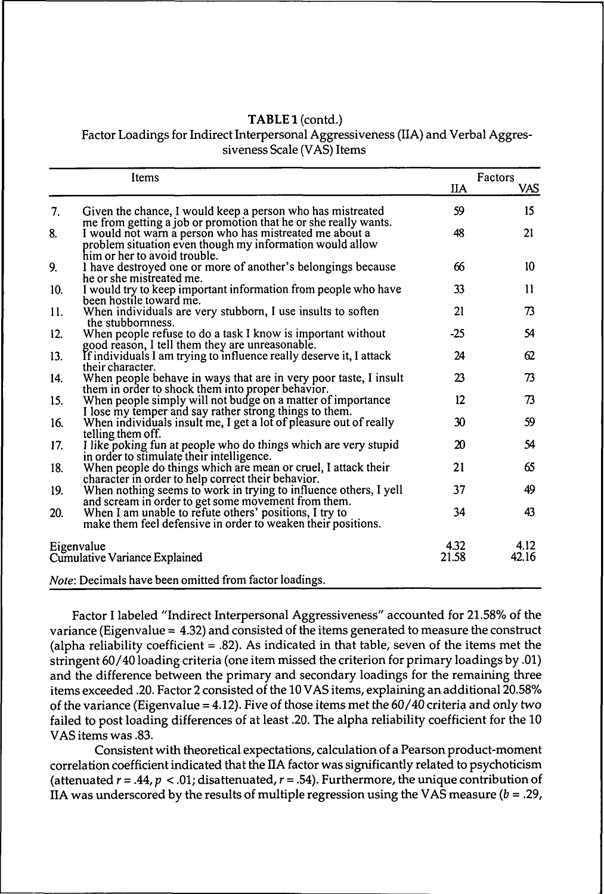#### TABLE 1 (contd.) Factor Loadings for Indirect Interpersonal Aggressiveness (IIA) and Verbal Aggressiveness Scale (VAS) Items

|     | Items                                                                                                                                                                                                                  | ПA                | Factors<br>VAS |
|-----|------------------------------------------------------------------------------------------------------------------------------------------------------------------------------------------------------------------------|-------------------|----------------|
| 7.  | Given the chance, I would keep a person who has mistreated                                                                                                                                                             | 59                | 15             |
| 8.  | me from getting a job or promotion that he or she really wants.<br>I would not warn a person who has mistreated me about a<br>problem situation even though my information would allow<br>him or her to avoid trouble. | 48                | 21             |
| 9.  | I have destroyed one or more of another's belongings because<br>he or she mistreated me.                                                                                                                               | 66                | 10             |
| 10. | I would try to keep important information from people who have<br>been hostile toward me.                                                                                                                              | 33                | 11             |
| 11. | When individuals are very stubborn, I use insults to soften<br>the stubbornness.                                                                                                                                       | 21                | 73             |
| 12. | When people refuse to do a task I know is important without<br>good reason, I tell them they are unreasonable.                                                                                                         | $-25$             | 54             |
| 13. | If individuals I am trying to influence really deserve it, I attack<br>their character.                                                                                                                                | 24                | 62             |
| 14. | When people behave in ways that are in very poor taste, I insult<br>them in order to shock them into proper behavior.                                                                                                  | 23                | 73             |
| 15. | When people simply will not budge on a matter of importance<br>I lose my temper and say rather strong things to them.                                                                                                  | $12 \overline{ }$ | 73             |
| 16. | When individuals insult me, I get a lot of pleasure out of really<br>telling them off.                                                                                                                                 | 30                | 59             |
| 17. | I like poking fun at people who do things which are very stupid                                                                                                                                                        | 20                | 54             |
| 18. | in order to stimulate their intelligence.<br>When people do things which are mean or cruel, I attack their                                                                                                             | 21                | 65             |
| 19. | character in order to help correct their behavior.<br>When nothing seems to work in trying to influence others, I yell                                                                                                 | 37                | 49             |
| 20. | and scream in order to get some movement from them.<br>When I am unable to refute others' positions, I try to<br>make them feel defensive in order to weaken their positions.                                          | 34                | 43             |
|     | Eigenvalue<br>Cumulative Variance Explained                                                                                                                                                                            | 4.32<br>21.58     | 4.12<br>42.16  |
|     | Note: Decimals have been omitted from factor loadings.                                                                                                                                                                 |                   |                |

Factor I labeled "Indirect Interpersonal Aggressiveness" accounted for 21.58% of the variance (Eigenvalue = 4.32) and consisted of the items generated to measure the construct (alpha reliability coefficient  $= .82$ ). As indicated in that table, seven of the items met the stringent 60/40 loading criteria (one item missed the criterion for primary loadings by .01) and the difference between the primary and secondary loadings for the remaining three items exceeded .20. Factor 2 consisted of the 10 VAS items, explaining an additional 20.58% of the variance (Eigenvalue =  $4.12$ ). Five of those items met the  $60/40$  criteria and only two failed to post loading differences of at least .20. The alpha reliability coefficient for the 10 VAS items was .83.

Consistent with theoretical expectations, calculation of a Pearson product-moment correlation coefficient indicated that the HA factor was significantly related to psychoticism (attenuated  $r = .44$ ,  $p < .01$ ; disattenuated,  $r = .54$ ). Furthermore, the unique contribution of IIA was underscored by the results of multiple regression using the VAS measure  $(b = .29)$ ,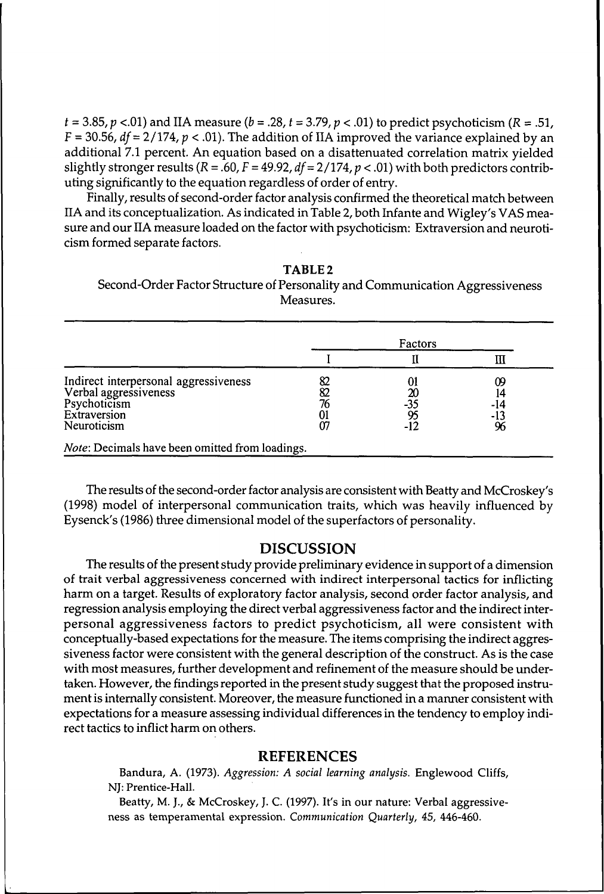$t = 3.85$ ,  $p < .01$ ) and IIA measure ( $b = .28$ ,  $t = 3.79$ ,  $p < .01$ ) to predict psychoticism ( $R = .51$ ,  $F = 30.56$ ,  $df = 2/174$ ,  $p < .01$ ). The addition of IIA improved the variance explained by an additional 7.1 percent. An equation based on a disattenuated correlation matrix yielded slightly stronger results  $(R = .60, F = 49.92, df = 2/174, p < .01)$  with both predictors contributing significantly to the equation regardless of order of entry.

Finally, results of second-order factor analysis confirmed the theoretical match between IIA and its conceptualization. As indicated in Table 2, both Infante and Wigley's VAS measure and our HA measure loaded on the factor with psychoticism: Extraversionand neuroticism formed separate factors.

| TABLE <sub>2</sub>                                                            |
|-------------------------------------------------------------------------------|
| Second-Order Factor Structure of Personality and Communication Aggressiveness |
| Measures.                                                                     |

|                                                                                                               | Factors |                  |                        |
|---------------------------------------------------------------------------------------------------------------|---------|------------------|------------------------|
|                                                                                                               |         |                  |                        |
| Indirect interpersonal aggressiveness<br>Verbal aggressiveness<br>Psychoticism<br>Extraversion<br>Neuroticism | 76      | -35<br>95<br>-12 | 09<br>-14<br>-13<br>96 |

The results of the second-order factor analysis are consistent with Beatty and McCroskey's (1998) model of interpersonal communication traits, which was heavily influenced by Eysenck's (1986) three dimensional model of the superfactors of personality.

#### **DISCUSSION**

The results ofthe present study provide preliminary evidence in support of a dimension of trait verbal aggressiveness concerned with indirect interpersonal tactics for inflicting harm on a target. Results of exploratory factor analysis, second order factor analysis, and regression analysis employing the direct verbal aggressiveness factor and the indirect interpersonal aggressiveness factors to predict psychoticism, all were consistent with conceptually-based expectations forthe measure. The items comprising the indirect aggressiveness factor were consistent with the general description of the construct. As is the case with most measures, further development and refinement of the measure should be undertaken. However, the findings reported in the present study suggest that the proposed instrument is internally consistent. Moreover, the measure functioned in a manner consistent with expectations for a measure assessing individual differences in the tendency to employ indirect tactics to inflict harm on others.

#### **REFERENCES**

Bandura, A. (1973). *Aggression: A social learning analysis.* Englewood Cliffs, NJ: Prentice-Hall.

Beatty, M. J., & McCroskey, J. C. (1997). It's in our nature: Verbal aggressiveness as temperamental expression. *Communication Quarterly, 45,* 446-460.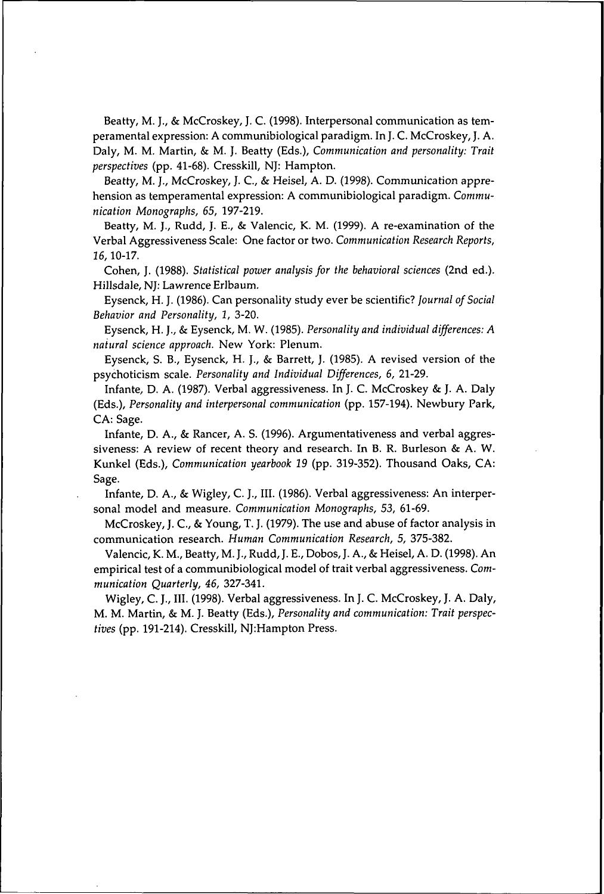Beatty, M. J., & McCroskey, J. C. (1998). Interpersonal communication as temperamental expression: A communibiological paradigm. In J. C. McCroskey, J. A. Daly, M. M. Martin, & M. J. Beatty (Eds.), *Communication and personality: Trait perspectives* (pp. 41-68). Cresskill, NJ: Hampton.

Beatty, M. J., McCroskey, J. C., & Heisel, A. D. (1998). Communication apprehension as temperamental expression: A communibiological paradigm. *Communication Monographs, 65,* 197-219.

Beatty, M. J., Rudd, J. E., & Valencic, K. M. (1999). A re-examination of the Verbal Aggressiveness Scale: One factor or two. *Communication Research Reports, 16,*10-17.

Cohen, J. (1988). *Statistical power analysis for the behavioral sciences* (2nd ed.). Hillsdale, NJ: Lawrence Erlbaum.

Eysenck, H. J. (1986). Can personality study ever be scientific? *journal of Social Behavior and Personality, 1,* 3-20.

Eysenck, H. J., & Eysenck, M. W. (1985). *Personality and individual differences: A natural science approach.* New York: Plenum.

Eysenck, S. B., Eysenck, H. J., & Barrett, J. (1985). A revised version of the psychoticism scale. *Personality and Individual Differences, 6,* 21-29.

Infante, D. A. (1987). Verbal aggressiveness. In J. C. McCroskey & J. A. Daly (Eds.), *Personality and interpersonal communication* (pp. 157-194). Newbury Park, CA: Sage.

Infante, D. A., & Rancer, A. S. (1996). Argumentativeness and verbal aggressiveness: A review of recent theory and research. In B. R. Burleson & A. W. Kunkel (Eds.), *Communication yearbook 19* (pp. 319-352). Thousand Oaks, CA: Sage.

Infante, D. A., & Wigley, C. J., III. (1986). Verbal aggressiveness: An interpersonal model and measure. *Communication Monographs, 53,* 61-69.

McCroskey, J. C., & Young, T. J. (1979). The use and abuse of factor analysis in communication research. *Human Communication Research, 5,* 375-382.

Valencic, K. M., Beatty, M. J., Rudd, J. E., Dobos, J. A., & Heisel, A. D. (1998). An empirical test of a communibiological model of trait verbal aggressiveness. *Communication Quarterly, 46,* 327-341.

Wigley, C. J., III. (1998). Verbal aggressiveness. In J. C. McCroskey, J. A. Daly, M. M. Martin, & M. J. Beatty (Eds.), *Personality and communication: Trait perspectives* (pp. 191-214). Cresskill, NJ:Hampton Press.